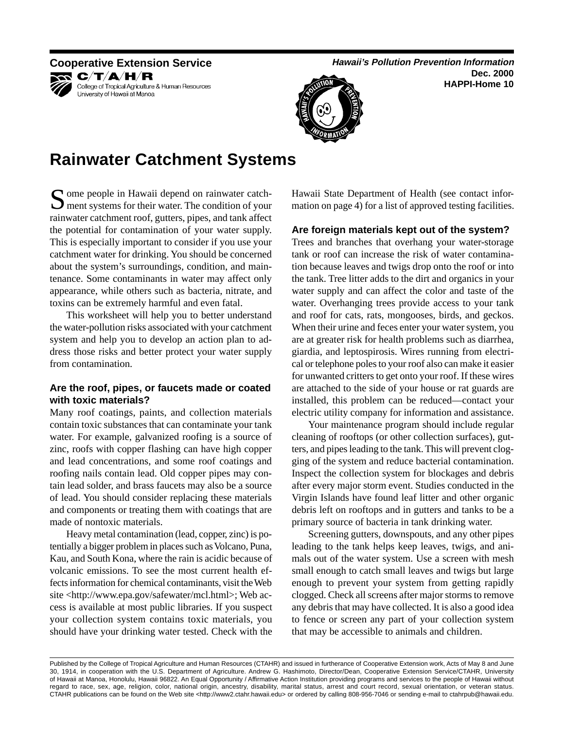## KR C∕T∕A∕H⁄R



College of Tropical Agriculture & Human Resources University of Hawaii at Manoa

**Cooperative Extension Service** <br> **Hawaii's Pollution Prevention Information Dec. 2000 HAPPI-Home 10** 



# **Rainwater Catchment Systems**

Some people in Hawaii depend on rainwater catch-<br>ment systems for their water. The condition of your rainwater catchment roof, gutters, pipes, and tank affect the potential for contamination of your water supply. This is especially important to consider if you use your catchment water for drinking. You should be concerned about the system's surroundings, condition, and maintenance. Some contaminants in water may affect only appearance, while others such as bacteria, nitrate, and toxins can be extremely harmful and even fatal.

This worksheet will help you to better understand the water-pollution risks associated with your catchment system and help you to develop an action plan to address those risks and better protect your water supply from contamination.

## **Are the roof, pipes, or faucets made or coated with toxic materials?**

Many roof coatings, paints, and collection materials contain toxic substances that can contaminate your tank water. For example, galvanized roofing is a source of zinc, roofs with copper flashing can have high copper and lead concentrations, and some roof coatings and roofing nails contain lead. Old copper pipes may contain lead solder, and brass faucets may also be a source of lead. You should consider replacing these materials and components or treating them with coatings that are made of nontoxic materials.

Heavy metal contamination (lead, copper, zinc) is potentially a bigger problem in places such as Volcano, Puna, Kau, and South Kona, where the rain is acidic because of volcanic emissions. To see the most current health effects information for chemical contaminants, visit the Web site <http://www.epa.gov/safewater/mcl.html>; Web access is available at most public libraries. If you suspect your collection system contains toxic materials, you should have your drinking water tested. Check with the

Hawaii State Department of Health (see contact information on page 4) for a list of approved testing facilities.

## **Are foreign materials kept out of the system?**

Trees and branches that overhang your water-storage tank or roof can increase the risk of water contamination because leaves and twigs drop onto the roof or into the tank. Tree litter adds to the dirt and organics in your water supply and can affect the color and taste of the water. Overhanging trees provide access to your tank and roof for cats, rats, mongooses, birds, and geckos. When their urine and feces enter your water system, you are at greater risk for health problems such as diarrhea, giardia, and leptospirosis. Wires running from electrical or telephone poles to your roof also can make it easier for unwanted critters to get onto your roof. If these wires are attached to the side of your house or rat guards are installed, this problem can be reduced—contact your electric utility company for information and assistance.

Your maintenance program should include regular cleaning of rooftops (or other collection surfaces), gutters, and pipes leading to the tank. This will prevent clogging of the system and reduce bacterial contamination. Inspect the collection system for blockages and debris after every major storm event. Studies conducted in the Virgin Islands have found leaf litter and other organic debris left on rooftops and in gutters and tanks to be a primary source of bacteria in tank drinking water.

Screening gutters, downspouts, and any other pipes leading to the tank helps keep leaves, twigs, and animals out of the water system. Use a screen with mesh small enough to catch small leaves and twigs but large enough to prevent your system from getting rapidly clogged. Check all screens after major storms to remove any debris that may have collected. It is also a good idea to fence or screen any part of your collection system that may be accessible to animals and children.

Published by the College of Tropical Agriculture and Human Resources (CTAHR) and issued in furtherance of Cooperative Extension work, Acts of May 8 and June 30, 1914, in cooperation with the U.S. Department of Agriculture. Andrew G. Hashimoto, Director/Dean, Cooperative Extension Service/CTAHR, University of Hawaii at Manoa, Honolulu, Hawaii 96822. An Equal Opportunity / Affirmative Action Institution providing programs and services to the people of Hawaii without regard to race, sex, age, religion, color, national origin, ancestry, disability, marital status, arrest and court record, sexual orientation, or veteran status. CTAHR publications can be found on the Web site <http://www2.ctahr.hawaii.edu> or ordered by calling 808-956-7046 or sending e-mail to ctahrpub@hawaii.edu.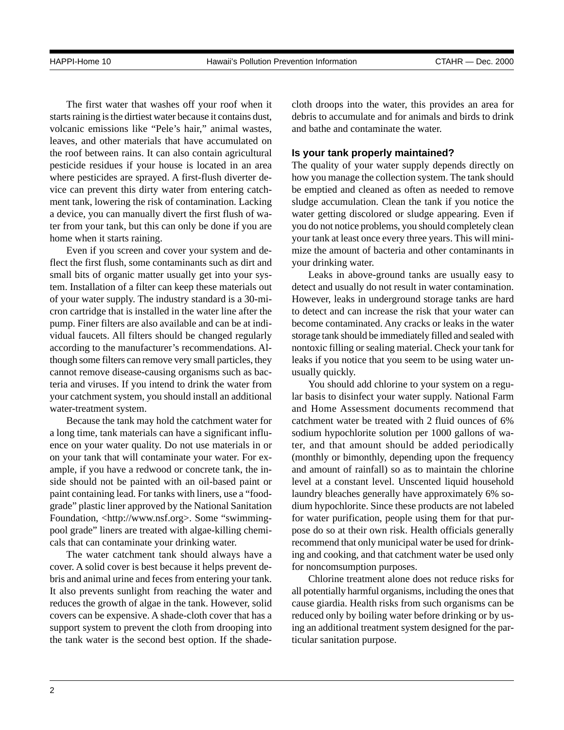The first water that washes off your roof when it starts raining is the dirtiest water because it contains dust, volcanic emissions like "Pele's hair," animal wastes, leaves, and other materials that have accumulated on the roof between rains. It can also contain agricultural pesticide residues if your house is located in an area where pesticides are sprayed. A first-flush diverter device can prevent this dirty water from entering catchment tank, lowering the risk of contamination. Lacking a device, you can manually divert the first flush of water from your tank, but this can only be done if you are home when it starts raining.

Even if you screen and cover your system and deflect the first flush, some contaminants such as dirt and small bits of organic matter usually get into your system. Installation of a filter can keep these materials out of your water supply. The industry standard is a 30-micron cartridge that is installed in the water line after the pump. Finer filters are also available and can be at individual faucets. All filters should be changed regularly according to the manufacturer's recommendations. Although some filters can remove very small particles, they cannot remove disease-causing organisms such as bacteria and viruses. If you intend to drink the water from your catchment system, you should install an additional water-treatment system.

Because the tank may hold the catchment water for a long time, tank materials can have a significant influence on your water quality. Do not use materials in or on your tank that will contaminate your water. For example, if you have a redwood or concrete tank, the inside should not be painted with an oil-based paint or paint containing lead. For tanks with liners, use a "foodgrade" plastic liner approved by the National Sanitation Foundation, <http://www.nsf.org>. Some "swimmingpool grade" liners are treated with algae-killing chemicals that can contaminate your drinking water.

The water catchment tank should always have a cover. A solid cover is best because it helps prevent debris and animal urine and feces from entering your tank. It also prevents sunlight from reaching the water and reduces the growth of algae in the tank. However, solid covers can be expensive. A shade-cloth cover that has a support system to prevent the cloth from drooping into the tank water is the second best option. If the shadecloth droops into the water, this provides an area for debris to accumulate and for animals and birds to drink and bathe and contaminate the water.

#### **Is your tank properly maintained?**

The quality of your water supply depends directly on how you manage the collection system. The tank should be emptied and cleaned as often as needed to remove sludge accumulation. Clean the tank if you notice the water getting discolored or sludge appearing. Even if you do not notice problems, you should completely clean your tank at least once every three years. This will minimize the amount of bacteria and other contaminants in your drinking water.

Leaks in above-ground tanks are usually easy to detect and usually do not result in water contamination. However, leaks in underground storage tanks are hard to detect and can increase the risk that your water can become contaminated. Any cracks or leaks in the water storage tank should be immediately filled and sealed with nontoxic filling or sealing material. Check your tank for leaks if you notice that you seem to be using water unusually quickly.

You should add chlorine to your system on a regular basis to disinfect your water supply. National Farm and Home Assessment documents recommend that catchment water be treated with 2 fluid ounces of 6% sodium hypochlorite solution per 1000 gallons of water, and that amount should be added periodically (monthly or bimonthly, depending upon the frequency and amount of rainfall) so as to maintain the chlorine level at a constant level. Unscented liquid household laundry bleaches generally have approximately 6% sodium hypochlorite. Since these products are not labeled for water purification, people using them for that purpose do so at their own risk. Health officials generally recommend that only municipal water be used for drinking and cooking, and that catchment water be used only for noncomsumption purposes.

Chlorine treatment alone does not reduce risks for all potentially harmful organisms, including the ones that cause giardia. Health risks from such organisms can be reduced only by boiling water before drinking or by using an additional treatment system designed for the particular sanitation purpose.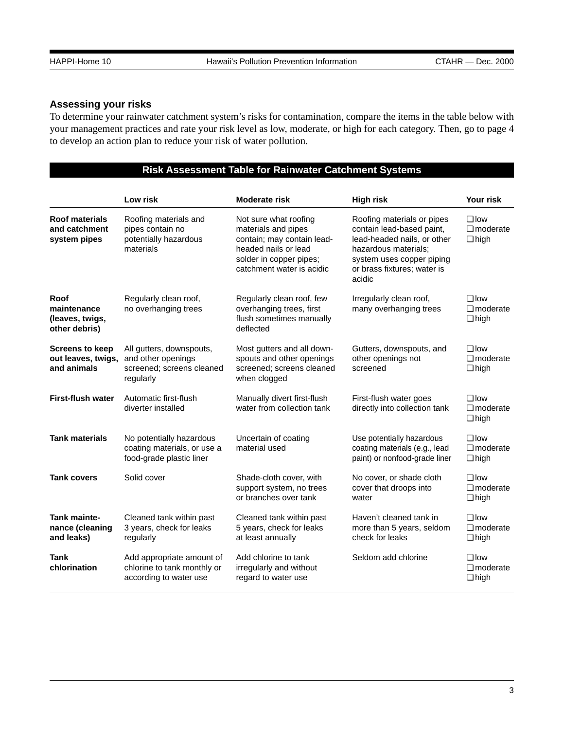## **Assessing your risks**

To determine your rainwater catchment system's risks for contamination, compare the items in the table below with your management practices and rate your risk level as low, moderate, or high for each category. Then, go to page 4 to develop an action plan to reduce your risk of water pollution.

## **Risk Assessment Table for Rainwater Catchment Systems**

|                                                             | Low risk                                                                                 | <b>Moderate risk</b>                                                                                                                                       | <b>High risk</b>                                                                                                                                                                     | Your risk                                       |
|-------------------------------------------------------------|------------------------------------------------------------------------------------------|------------------------------------------------------------------------------------------------------------------------------------------------------------|--------------------------------------------------------------------------------------------------------------------------------------------------------------------------------------|-------------------------------------------------|
| <b>Roof materials</b><br>and catchment<br>system pipes      | Roofing materials and<br>pipes contain no<br>potentially hazardous<br>materials          | Not sure what roofing<br>materials and pipes<br>contain; may contain lead-<br>headed nails or lead<br>solder in copper pipes;<br>catchment water is acidic | Roofing materials or pipes<br>contain lead-based paint,<br>lead-headed nails, or other<br>hazardous materials:<br>system uses copper piping<br>or brass fixtures; water is<br>acidic | $\Box$ low<br>$\square$ moderate<br>$\Box$ high |
| Roof<br>maintenance<br>(leaves, twigs,<br>other debris)     | Regularly clean roof,<br>no overhanging trees                                            | Regularly clean roof, few<br>overhanging trees, first<br>flush sometimes manually<br>deflected                                                             | Irregularly clean roof,<br>many overhanging trees                                                                                                                                    | $\Box$ low<br>$\square$ moderate<br>$\Box$ high |
| <b>Screens to keep</b><br>out leaves, twigs,<br>and animals | All gutters, downspouts,<br>and other openings<br>screened; screens cleaned<br>regularly | Most gutters and all down-<br>spouts and other openings<br>screened; screens cleaned<br>when clogged                                                       | Gutters, downspouts, and<br>other openings not<br>screened                                                                                                                           | $\Box$ low<br>$\square$ moderate<br>$\Box$ high |
| <b>First-flush water</b>                                    | Automatic first-flush<br>diverter installed                                              | Manually divert first-flush<br>water from collection tank                                                                                                  | First-flush water goes<br>directly into collection tank                                                                                                                              | $\Box$ low<br>$\Box$ moderate<br>$\Box$ high    |
| <b>Tank materials</b>                                       | No potentially hazardous<br>coating materials, or use a<br>food-grade plastic liner      | Uncertain of coating<br>material used                                                                                                                      | Use potentially hazardous<br>coating materials (e.g., lead<br>paint) or nonfood-grade liner                                                                                          | $\Box$ low<br>$\square$ moderate<br>$\Box$ high |
| <b>Tank covers</b>                                          | Solid cover                                                                              | Shade-cloth cover, with<br>support system, no trees<br>or branches over tank                                                                               | No cover, or shade cloth<br>cover that droops into<br>water                                                                                                                          | $\Box$ low<br>$\square$ moderate<br>$\Box$ high |
| <b>Tank mainte-</b><br>nance (cleaning<br>and leaks)        | Cleaned tank within past<br>3 years, check for leaks<br>regularly                        | Cleaned tank within past<br>5 years, check for leaks<br>at least annually                                                                                  | Haven't cleaned tank in<br>more than 5 years, seldom<br>check for leaks                                                                                                              | $\Box$ low<br>$\square$ moderate<br>$\Box$ high |
| Tank<br>chlorination                                        | Add appropriate amount of<br>chlorine to tank monthly or<br>according to water use       | Add chlorine to tank<br>irregularly and without<br>regard to water use                                                                                     | Seldom add chlorine                                                                                                                                                                  | $\Box$ low<br>$\square$ moderate<br>$\Box$ high |